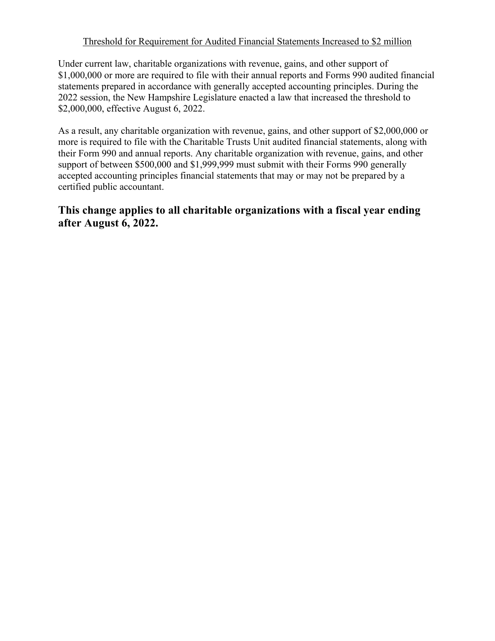## Threshold for Requirement for Audited Financial Statements Increased to \$2 million

Under current law, charitable organizations with revenue, gains, and other support of \$1,000,000 or more are required to file with their annual reports and Forms 990 audited financial statements prepared in accordance with generally accepted accounting principles. During the 2022 session, the New Hampshire Legislature enacted a law that increased the threshold to \$2,000,000, effective August 6, 2022.

As a result, any charitable organization with revenue, gains, and other support of \$2,000,000 or more is required to file with the Charitable Trusts Unit audited financial statements, along with their Form 990 and annual reports. Any charitable organization with revenue, gains, and other support of between \$500,000 and \$1,999,999 must submit with their Forms 990 generally accepted accounting principles financial statements that may or may not be prepared by a certified public accountant.

## **This change applies to all charitable organizations with a fiscal year ending after August 6, 2022.**